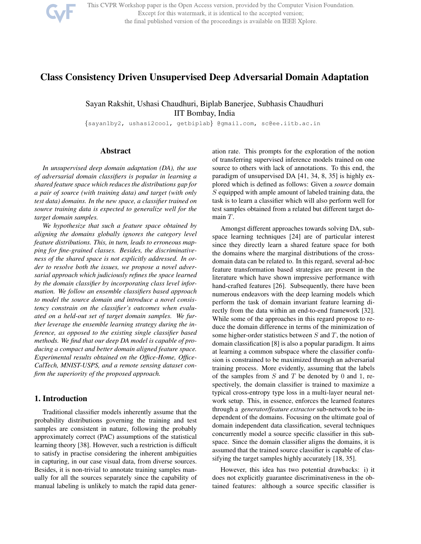

This CVPR Workshop paper is the Open Access version, provided by the Computer Vision Foundation. Except for this watermark, it is identical to the accepted version; the final published version of the proceedings is available on IEEE Xplore.

# Class Consistency Driven Unsupervised Deep Adversarial Domain Adaptation

# Sayan Rakshit, Ushasi Chaudhuri, Biplab Banerjee, Subhasis Chaudhuri IIT Bombay, India

{sayan1by2, ushasi2cool, getbiplab} @gmail.com, sc@ee.iitb.ac.in

## Abstract

*In unsupervised deep domain adaptation (DA), the use of adversarial domain classifiers is popular in learning a shared feature space which reduces the distributions gap for a pair of source (with training data) and target (with only test data) domains. In the new space, a classifier trained on source training data is expected to generalize well for the target domain samples.*

*We hypothesize that such a feature space obtained by aligning the domains globally ignores the category level feature distributions. This, in turn, leads to erroneous mapping for fine-grained classes. Besides, the discriminativeness of the shared space is not explicitly addressed. In order to resolve both the issues, we propose a novel adversarial approach which judiciously refines the space learned by the domain classifier by incorporating class level information. We follow an ensemble classifiers based approach to model the source domain and introduce a novel consistency constrain on the classifier's outcomes when evaluated on a held-out set of target domain samples. We further leverage the ensemble learning strategy during the inference, as opposed to the existing single classifier based methods. We find that our deep DA model is capable of producing a compact and better domain aligned feature space. Experimental results obtained on the Office-Home, Office-CalTech, MNIST-USPS, and a remote sensing dataset confirm the superiority of the proposed approach.*

## 1. Introduction

Traditional classifier models inherently assume that the probability distributions governing the training and test samples are consistent in nature, following the probably approximately correct (PAC) assumptions of the statistical learning theory [38]. However, such a restriction is difficult to satisfy in practise considering the inherent ambiguities in capturing, in our case visual data, from diverse sources. Besides, it is non-trivial to annotate training samples manually for all the sources separately since the capability of manual labeling is unlikely to match the rapid data generation rate. This prompts for the exploration of the notion of transferring supervised inference models trained on one source to others with lack of annotations. To this end, the paradigm of unsupervised DA [41, 34, 8, 35] is highly explored which is defined as follows: Given a *source* domain S equipped with ample amount of labeled training data, the task is to learn a classifier which will also perform well for test samples obtained from a related but different target domain T.

Amongst different approaches towards solving DA, subspace learning techniques [24] are of particular interest since they directly learn a shared feature space for both the domains where the marginal distributions of the crossdomain data can be related to. In this regard, several ad-hoc feature transformation based strategies are present in the literature which have shown impressive performance with hand-crafted features [26]. Subsequently, there have been numerous endeavors with the deep learning models which perform the task of domain invariant feature learning directly from the data within an end-to-end framework [32]. While some of the approaches in this regard propose to reduce the domain difference in terms of the minimization of some higher-order statistics between  $S$  and  $T$ , the notion of domain classification [8] is also a popular paradigm. It aims at learning a common subspace where the classifier confusion is constrained to be maximized through an adversarial training process. More evidently, assuming that the labels of the samples from  $S$  and  $T$  be denoted by 0 and 1, respectively, the domain classifier is trained to maximize a typical cross-entropy type loss in a multi-layer neural network setup. This, in essence, enforces the learned features through a *generator/feature extractor* sub-network to be independent of the domains. Focusing on the ultimate goal of domain independent data classification, several techniques concurrently model a source specific classifier in this subspace. Since the domain classifier aligns the domains, it is assumed that the trained source classifier is capable of classifying the target samples highly accurately [18, 35].

However, this idea has two potential drawbacks: i) it does not explicitly guarantee discriminativeness in the obtained features: although a source specific classifier is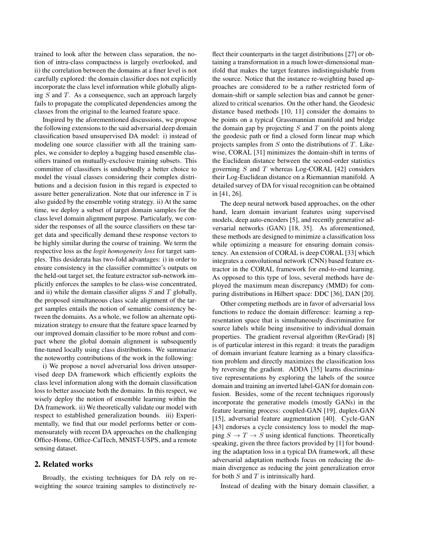trained to look after the between class separation, the notion of intra-class compactness is largely overlooked, and ii) the correlation between the domains at a finer level is not carefully explored: the domain classifier does not explicitly incorporate the class level information while globally aligning  $S$  and  $T$ . As a consequence, such an approach largely fails to propagate the complicated dependencies among the classes from the original to the learned feature space.

Inspired by the aforementioned discussions, we propose the following extensions to the said adversarial deep domain classification based unsupervised DA model: i) instead of modeling one source classifier with all the training samples, we consider to deploy a bagging based ensemble classifiers trained on mutually-exclusive training subsets. This committee of classifiers is undoubtedly a better choice to model the visual classes considering their complex distributions and a decision fusion in this regard is expected to assure better generalization. Note that our inference in  $T$  is also guided by the ensemble voting strategy. ii) At the same time, we deploy a subset of target domain samples for the class level domain alignment purpose. Particularly, we consider the responses of all the source classifiers on these target data and specifically demand these response vectors to be highly similar during the course of training. We term the respective loss as the *logit homogeneity loss* for target samples. This desiderata has two-fold advantages: i) in order to ensure consistency in the classifier committee's outputs on the held-out target set, the feature extractor sub-network implicitly enforces the samples to be class-wise concentrated, and ii) while the domain classifier aligns  $S$  and  $T$  globally, the proposed simultaneous class scale alignment of the target samples entails the notion of semantic consistency between the domains. As a whole, we follow an alternate optimization strategy to ensure that the feature space learned by our improved domain classifier to be more robust and compact where the global domain alignment is subsequently fine-tuned locally using class distributions. We summarize the noteworthy contributions of the work in the following:

i) We propose a novel adversarial loss driven unsupervised deep DA framework which efficiently exploits the class level information along with the domain classification loss to better associate both the domains. In this respect, we wisely deploy the notion of ensemble learning within the DA framework. ii) We theoretically validate our model with respect to established generalization bounds. iii) Experimentally, we find that our model performs better or commensurately with recent DA approaches on the challenging Office-Home, Office-CalTech, MNIST-USPS, and a remote sensing dataset.

#### 2. Related works

Broadly, the existing techniques for DA rely on reweighting the source training samples to distinctively reflect their counterparts in the target distributions [27] or obtaining a transformation in a much lower-dimensional manifold that makes the target features indistinguishable from the source. Notice that the instance re-weighting based approaches are considered to be a rather restricted form of domain-shift or sample selection bias and cannot be generalized to critical scenarios. On the other hand, the Geodesic distance based methods [10, 11] consider the domains to be points on a typical Grassmannian manifold and bridge the domain gap by projecting  $S$  and  $T$  on the points along the geodesic path or find a closed form linear map which projects samples from  $S$  onto the distributions of  $T$ . Likewise, CORAL [31] minimizes the domain-shift in terms of the Euclidean distance between the second-order statistics governing  $S$  and  $T$  whereas Log-CORAL [42] considers their Log-Euclidean distance on a Riemannian manifold. A detailed survey of DA for visual recognition can be obtained in [41, 26].

The deep neural network based approaches, on the other hand, learn domain invariant features using supervised models, deep auto-encoders [5], and recently generative adversarial networks (GAN) [18, 35]. As aforementioned, these methods are designed to minimize a classification loss while optimizing a measure for ensuring domain consistency. An extension of CORAL is deep CORAL [33] which integrates a convolutional network (CNN) based feature extractor in the CORAL framework for end-to-end learning. As opposed to this type of loss, several methods have deployed the maximum mean discrepancy (MMD) for comparing distributions in Hilbert space: DDC [36], DAN [20].

Other competing methods are in favor of adversarial loss functions to reduce the domain difference: learning a representation space that is simultaneously discriminative for source labels while being insensitive to individual domain properties. The gradient reversal algorithm (RevGrad) [8] is of particular interest in this regard: it treats the paradigm of domain invariant feature learning as a binary classification problem and directly maximizes the classification loss by reversing the gradient. ADDA [35] learns discriminative representations by exploring the labels of the source domain and training an inverted label-GAN for domain confusion. Besides, some of the recent techniques rigorously incorporate the generative models (mostly GANs) in the feature learning process: coupled-GAN [19], duplex-GAN [15], adversarial feature augmentation [40]. Cycle-GAN [43] endorses a cycle consistency loss to model the mapping  $S \to T \to S$  using identical functions. Theoretically speaking, given the three factors provided by [1] for bounding the adaptation loss in a typical DA framework, all these adversarial adaptation methods focus on reducing the domain divergence as reducing the joint generalization error for both  $S$  and  $T$  is intrinsically hard.

Instead of dealing with the binary domain classifier, a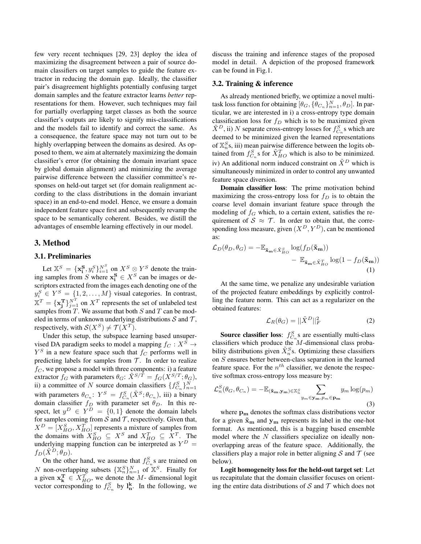few very recent techniques [29, 23] deploy the idea of maximizing the disagreement between a pair of source domain classifiers on target samples to guide the feature extractor in reducing the domain gap. Ideally, the classifier pair's disagreement highlights potentially confusing target domain samples and the feature extractor learns *better* representations for them. However, such techniques may fail for partially overlapping target classes as both the source classifier's outputs are likely to signify mis-classifications and the models fail to identify and correct the same. As a consequence, the feature space may not turn out to be highly overlapping between the domains as desired. As opposed to them, we aim at alternately maximizing the domain classifier's error (for obtaining the domain invariant space by global domain alignment) and minimizing the average pairwise difference between the classifier committee's responses on held-out target set (for domain realignment according to the class distributions in the domain invariant space) in an end-to-end model. Hence, we ensure a domain independent feature space first and subsequently revamp the space to be semantically coherent. Besides, we distill the advantages of ensemble learning effectively in our model.

#### 3. Method

#### 3.1. Preliminaries

Let  $X^S = {\mathbf{x}_i^S, y_i^S}_{i=1}^N \text{ on } X^S \otimes Y^S$  denote the training samples from S where  $x_i^S \in X^S$  can be images or descriptors extracted from the images each denoting one of the  $y_i^S \in Y^S = \{1, 2, ..., M\}$  visual categories. In contrast,  $X^T = \{ \mathbf{x}_j^T \}_{j=1}^{N^T}$  on  $X^T$  represents the set of unlabeled test samples from  $\overline{T}$ . We assume that both  $S$  and  $T$  can be modeled in terms of unknown underlying distributions  $S$  and  $T$ , respectively, with  $S(X^S) \neq \mathcal{T}(X^T)$ .

Under this setup, the subspace learning based unsupervised DA paradigm seeks to model a mapping  $f_C : X^S \to$  $Y<sup>S</sup>$  in a new feature space such that  $f_C$  performs well in predicting labels for samples from  $\mathcal T$ . In order to realize  $f_C$ , we propose a model with three components: i) a feature extractor  $f_G$  with parameters  $\theta_G$ :  $\tilde{X}^{S/\tilde{T}} = f_G(X^{S/T}; \theta_G)$ , ii) a committee of N source domain classifiers  $\{f_{C_n}^S\}_{n=1}^N$ with parameters  $\theta_{C_n}$ :  $Y^S = f^S_{C_n}(\tilde{X}^S; \theta_{C_n})$ , iii) a binary domain classifier  $f_D$  with parameter set  $\theta_D$ . In this respect, let  $y^D \in Y^D = \{0, 1\}$  denote the domain labels for samples coming from  $S$  and  $T$ , respectively. Given that,  $X^D = [X_{HO}^S, X_{HO}^T]$  represents a mixture of samples from the domains with  $X_{HO}^{S} \subseteq X^{S}$  and  $X_{HO}^{T} \subseteq X^{T}$ . The underlying mapping function can be interpreted as  $Y^D =$  $f_D(\tilde{X}^D; \theta_D)$ .

On the other hand, we assume that  $f_{C_n}^S$ s are trained on N non-overlapping subsets  $\{X_n^S\}_{n=1}^N$  of  $X^S$ . Finally for a given  $\mathbf{x_k^T} \in X_{HO}^T$ , we denote the M- dimensional logit vector corresponding to  $f_{C_n}^S$  by  $\mathbf{l}_n^k$ . In the following, we discuss the training and inference stages of the proposed model in detail. A depiction of the proposed framework can be found in Fig.1.

### 3.2. Training & inference

As already mentioned briefly, we optimize a novel multitask loss function for obtaining  $[\theta_G, {\{\theta_{C_n}\}}_{n=1}^N, \theta_D].$  In particular, we are interested in i) a cross-entropy type domain classification loss for  $f_D$  which is to be maximized given  $\tilde{X}^D$ , ii) N separate cross-entropy losses for  $f_{C_n}^S$ s which are deemed to be minimized given the learned representations of  $\mathbb{X}_n^S$ s, iii) mean pairwise difference between the logits obtained from  $f_{C_n}^S$ s for  $\tilde{X}_{HO}^T$  which is also to be minimized. iv) An additional norm induced constraint on  $\tilde{X}^D$  which is simultaneously minimized in order to control any unwanted feature space diversion.

Domain classifier loss: The prime motivation behind maximizing the cross-entropy loss for  $f_D$  is to obtain the coarse level domain invariant feature space through the modeling of  $f_G$  which, to a certain extent, satisfies the requirement of  $S \approx T$ . In order to obtain that, the corresponding loss measure, given  $(X^D, Y^D)$ , can be mentioned as:

$$
\mathcal{L}_D(\theta_D, \theta_G) = -\mathbb{E}_{\tilde{\mathbf{x}}_{\mathbf{m}} \in \tilde{X}_{HO}^S} \log(f_D(\tilde{\mathbf{x}}_{\mathbf{m}})) - \mathbb{E}_{\tilde{\mathbf{x}}_{\mathbf{m}} \in \tilde{X}_{HO}^T} \log(1 - f_D(\tilde{\mathbf{x}}_{\mathbf{m}}))
$$
\n(1)

At the same time, we penalize any undesirable variation of the projected feature embeddings by explicitly controlling the feature norm. This can act as a regularizer on the obtained features:

$$
\mathcal{L}_R(\theta_G) = ||\tilde{X}^D||_F^2 \tag{2}
$$

**Source classifier loss:**  $f_{C_n}^S$ s are essentially multi-class classifiers which produce the M-dimensional class probability distributions given  $\tilde{X}_n^S$ s. Optimizing these classifiers on S ensures better between-class separation in the learned feature space. For the  $n^{th}$  classifier, we denote the respective softmax cross-entropy loss measure by:

$$
\mathcal{L}_n^S(\theta_G, \theta_{C_n}) = -\mathbb{E}_{(\tilde{\mathbf{x}}_{\mathbf{m}}, \mathbf{y}_{\mathbf{m}}) \in \mathbb{X}_n^S} \sum_{y_m \in \mathbf{y}_{\mathbf{m}}, p_m \in \mathbf{p}_{\mathbf{m}}} y_m \log(p_m)
$$
(3)

where  $p_m$  denotes the softmax class distributions vector for a given  $\tilde{\mathbf{x}}_{m}$  and  $\mathbf{y}_{m}$  represents its label in the one-hot format. As mentioned, this is a bagging based ensemble model where the N classifiers specialize on ideally nonoverlapping areas of the feature space. Additionally, the classifiers play a major role in better aligning  $S$  and  $T$  (see below).

Logit homogeneity loss for the held-out target set: Let us recapitulate that the domain classifier focuses on orienting the entire data distributions of  $S$  and  $T$  which does not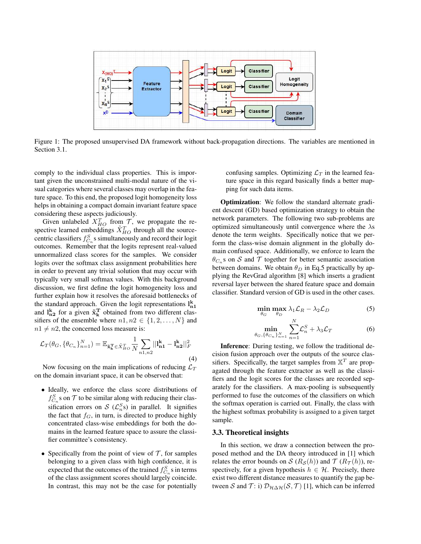

Figure 1: The proposed unsupervised DA framework without back-propagation directions. The variables are mentioned in Section 3.1.

comply to the individual class properties. This is important given the unconstrained multi-modal nature of the visual categories where several classes may overlap in the feature space. To this end, the proposed logit homogeneity loss helps in obtaining a compact domain invariant feature space considering these aspects judiciously.

Given unlabeled  $X_{HO}^{T}$  from  $T$ , we propagate the respective learned embeddings  $\tilde{X}_{HO}^{T}$  through all the sourcecentric classifiers  $f_{C_n}^S$ s simultaneously and record their logit outcomes. Remember that the logits represent real-valued unnormalized class scores for the samples. We consider logits over the softmax class assignment probabilities here in order to prevent any trivial solution that may occur with typically very small softmax values. With this background discussion, we first define the logit homogeneity loss and further explain how it resolves the aforesaid bottlenecks of the standard approach. Given the logit representations  $l_{n_1}^k$ and  $l_{n2}^{k}$  for a given  $\tilde{x}_{k}^{T}$  obtained from two different classifiers of the ensemble where  $n1, n2 \in \{1, 2, ..., N\}$  and  $n1 \neq n2$ , the concerned loss measure is:

$$
\mathcal{L}_{T}(\theta_{G}, \{\theta_{C_{n}}\}_{n=1}^{N}) = \mathbb{E}_{\tilde{\mathbf{x}}_{\mathbf{k}}^{T} \in \tilde{X}_{HO}^{T}} \frac{1}{N} \sum_{n1, n2} ||\mathbf{l}_{\mathbf{n1}}^{k} - \mathbf{l}_{\mathbf{n2}}^{k}||_{F}^{2}
$$
\n(4)

Now focusing on the main implications of reducing  $\mathcal{L}_T$ on the domain invariant space, it can be observed that:

- Ideally, we enforce the class score distributions of  $f_{C_n}^S$ s on  $\mathcal T$  to be similar along with reducing their classification errors on  $S(\mathcal{L}_n^S)$  in parallel. It signifies the fact that  $f_G$ , in turn, is directed to produce highly concentrated class-wise embeddings for both the domains in the learned feature space to assure the classifier committee's consistency.
- Specifically from the point of view of  $\mathcal T$ , for samples belonging to a given class with high confidence, it is expected that the outcomes of the trained  $f_{C_n}^S$ s in terms of the class assignment scores should largely coincide. In contrast, this may not be the case for potentially

confusing samples. Optimizing  $\mathcal{L}_T$  in the learned feature space in this regard basically finds a better mapping for such data items.

Optimization: We follow the standard alternate gradient descent (GD) based optimization strategy to obtain the network parameters. The following two sub-problems are optimized simultaneously until convergence where the  $\lambda$ s denote the term weights. Specifically notice that we perform the class-wise domain alignment in the globally domain confused space. Additionally, we enforce to learn the  $\theta_{C_n}$ s on S and T together for better semantic association between domains. We obtain  $\theta_D$  in Eq.5 practically by applying the RevGrad algorithm [8] which inserts a gradient reversal layer between the shared feature space and domain classifier. Standard version of GD is used in the other cases.

$$
\min_{\theta_G} \max_{\theta_D} \lambda_1 \mathcal{L}_R - \lambda_2 \mathcal{L}_D \tag{5}
$$

$$
\min_{\theta_G, \{\theta_{C_n}\}_{n=1}^N} \sum_{n=1}^N \mathcal{L}_n^S + \lambda_3 \mathcal{L}_T
$$
 (6)

Inference: During testing, we follow the traditional decision fusion approach over the outputs of the source classifiers. Specifically, the target samples from  $\mathbb{X}^T$  are propagated through the feature extractor as well as the classifiers and the logit scores for the classes are recorded separately for the classifiers. A max-pooling is subsequently performed to fuse the outcomes of the classifiers on which the softmax operation is carried out. Finally, the class with the highest softmax probability is assigned to a given target sample.

 $\overline{\mathbf{M}}$ 

#### 3.3. Theoretical insights

In this section, we draw a connection between the proposed method and the DA theory introduced in [1] which relates the error bounds on S ( $R_{\mathcal{S}}(h)$ ) and T ( $R_{\mathcal{T}}(h)$ ), respectively, for a given hypothesis  $h \in \mathcal{H}$ . Precisely, there exist two different distance measures to quantify the gap between S and T: i)  $\mathcal{D}_{\mathcal{H}\Delta\mathcal{H}}(\mathcal{S}, \mathcal{T})$  [1], which can be inferred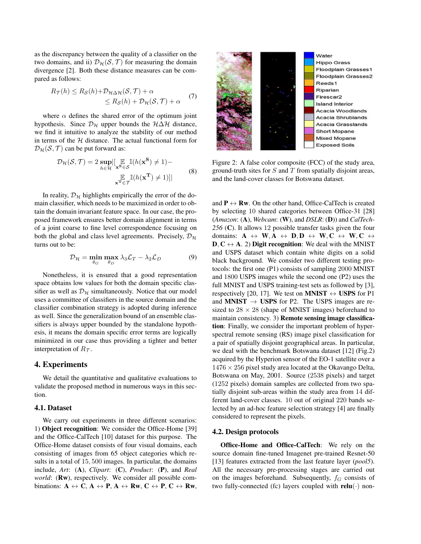as the discrepancy between the quality of a classifier on the two domains, and ii)  $\mathcal{D}_{\mathcal{H}}(\mathcal{S}, \mathcal{T})$  for measuring the domain divergence [2]. Both these distance measures can be compared as follows:

$$
R_{\mathcal{T}}(h) \leq R_{\mathcal{S}}(h) + \mathcal{D}_{\mathcal{H}\Delta\mathcal{H}}(\mathcal{S}, \mathcal{T}) + \alpha
$$
  
\$\leq R\_{\mathcal{S}}(h) + \mathcal{D}\_{\mathcal{H}}(\mathcal{S}, \mathcal{T}) + \alpha\$ (7)

where  $\alpha$  defines the shared error of the optimum joint hypothesis. Since  $\mathcal{D}_{\mathcal{H}}$  upper bounds the  $\mathcal{H}\Delta\mathcal{H}$  distance, we find it intuitive to analyze the stability of our method in terms of the  $H$  distance. The actual functional form for  $\mathcal{D}_{\mathcal{H}}(\mathcal{S}, \mathcal{T})$  can be put forward as:

$$
\mathcal{D}_{\mathcal{H}}(\mathcal{S}, \mathcal{T}) = 2 \sup_{h \in \mathcal{H}} \left| \underset{\mathbf{x}^{\mathbf{S}} \in \mathcal{S}}{\mathbb{E}} \mathbb{I}(h(\mathbf{x}^{\mathbf{S}}) \neq 1) - \underset{\mathbf{x}^{\mathbf{T}} \in \mathcal{T}}{\mathbb{E}} \mathbb{I}(h(\mathbf{x}^{\mathbf{T}}) \neq 1) \right|
$$
(8)

In reality,  $\mathcal{D}_{\mathcal{H}}$  highlights empirically the error of the domain classifier, which needs to be maximized in order to obtain the domain invariant feature space. In our case, the proposed framework ensures better domain alignment in terms of a joint coarse to fine level correspondence focusing on both the global and class level agreements. Precisely,  $\mathcal{D}_{\mathcal{H}}$ turns out to be:

$$
\mathcal{D}_{\mathcal{H}} = \min_{\theta_G} \max_{\theta_D} \lambda_3 \mathcal{L}_T - \lambda_2 \mathcal{L}_D \tag{9}
$$

Nonetheless, it is ensured that a good representation space obtains low values for both the domain specific classifier as well as  $\mathcal{D}_{\mathcal{H}}$  simultaneously. Notice that our model uses a committee of classifiers in the source domain and the classifier combination strategy is adopted during inference as well. Since the generalization bound of an ensemble classifiers is always upper bounded by the standalone hypothesis, it means the domain specific error terms are logically minimized in our case thus providing a tighter and better interpretation of  $R_{\mathcal{T}}$ .

## 4. Experiments

We detail the quantitative and qualitative evaluations to validate the proposed method in numerous ways in this section.

## 4.1. Dataset

We carry out experiments in three different scenarios: 1) Object recognition: We consider the Office-Home [39] and the Office-CalTech [10] dataset for this purpose. The Office-Home dataset consists of four visual domains, each consisting of images from 65 object categories which results in a total of 15, 500 images. In particular, the domains include, *Art*: (A), *Clipart*: (C), *Product*: (P), and *Real world*: (Rw), respectively. We consider all possible combinations:  $A \leftrightarrow C$ ,  $A \leftrightarrow P$ ,  $A \leftrightarrow Rw$ ,  $C \leftrightarrow P$ ,  $C \leftrightarrow Rw$ ,



Figure 2: A false color composite (FCC) of the study area, ground-truth sites for  $S$  and  $T$  from spatially disjoint areas, and the land-cover classes for Botswana dataset.

and  $P \leftrightarrow Rw$ . On the other hand, Office-CalTech is created by selecting 10 shared categories between Office-31 [28] (*Amazon*: (A), *Webcam*: (W), and *DSLR*: (D)) and *CalTech-256* (C). It allows 12 possible transfer tasks given the four domains:  $A \leftrightarrow W, A \leftrightarrow D, D \leftrightarrow W, C \leftrightarrow W, C \leftrightarrow$  $D, C \leftrightarrow A$ . 2) Digit recognition: We deal with the MNIST and USPS dataset which contain white digits on a solid black background. We consider two different testing protocols: the first one (P1) consists of sampling 2000 MNIST and 1800 USPS images while the second one (P2) uses the full MNIST and USPS training-test sets as followed by [3], respectively [20, 17]. We test on **MNIST**  $\leftrightarrow$  **USPS** for P1 and **MNIST**  $\rightarrow$  **USPS** for P2. The USPS images are resized to  $28 \times 28$  (shape of MNIST images) beforehand to maintain consistency. 3) Remote sensing image classification: Finally, we consider the important problem of hyperspectral remote sensing (RS) image pixel classification for a pair of spatially disjoint geographical areas. In particular, we deal with the benchmark Botswana dataset [12] (Fig.2) acquired by the Hyperion sensor of the EO-1 satellite over a  $1476 \times 256$  pixel study area located at the Okavango Delta, Botswana on May, 2001. Source (2538 pixels) and target (1252 pixels) domain samples are collected from two spatially disjoint sub-areas within the study area from 14 different land-cover classes. 10 out of original 220 bands selected by an ad-hoc feature selection strategy [4] are finally considered to represent the pixels.

#### 4.2. Design protocols

Office-Home and Office-CalTech: We rely on the source domain fine-tuned Imagenet pre-trained Resnet-50 [13] features extracted from the last feature layer (*pool5*). All the necessary pre-processing stages are carried out on the images beforehand. Subsequently,  $f_G$  consists of two fully-connected (fc) layers coupled with  $relu(\cdot)$  non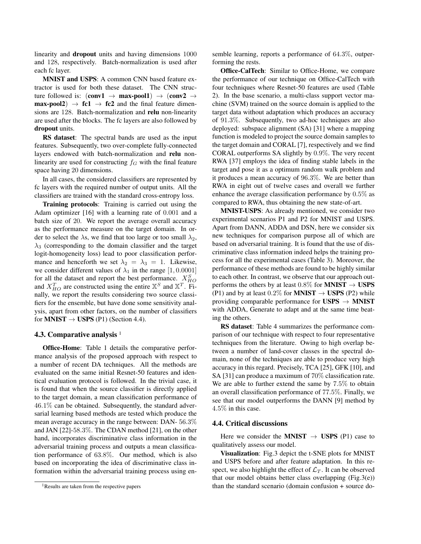linearity and dropout units and having dimensions 1000 and 128, respectively. Batch-normalization is used after each fc layer.

MNIST and USPS: A common CNN based feature extractor is used for both these dataset. The CNN structure followed is:  $(\text{conv1} \rightarrow \text{max-pool1}) \rightarrow (\text{conv2} \rightarrow$  $max-pool2$   $\rightarrow$  fc1  $\rightarrow$  fc2 and the final feature dimensions are 128. Batch-normalization and relu non-linearity are used after the blocks. The fc layers are also followed by dropout units.

RS dataset: The spectral bands are used as the input features. Subsequently, two over-complete fully-connected layers endowed with batch-normalization and relu nonlinearity are used for constructing  $f_G$  with the final feature space having 20 dimensions.

In all cases, the considered classifiers are represented by fc layers with the required number of output units. All the classifiers are trained with the standard cross-entropy loss.

Training protocols: Training is carried out using the Adam optimizer [16] with a learning rate of 0.001 and a batch size of 20. We report the average overall accuracy as the performance measure on the target domain. In order to select the  $\lambda$ s, we find that too large or too small  $\lambda_2$ ,  $\lambda_3$  (corresponding to the domain classifier and the target logit-homogeneity loss) lead to poor classification performance and henceforth we set  $\lambda_2 = \lambda_3 = 1$ . Likewise, we consider different values of  $\lambda_1$  in the range [1, 0.0001] for all the dataset and report the best performance.  $X_{HO}^{S}$ and  $X_{HO}^{T}$  are constructed using the entire  $\mathbb{X}^{S}$  and  $\mathbb{X}^{T}$ . Finally, we report the results considering two source classifiers for the ensemble, but have done some sensitivity analysis, apart from other factors, on the number of classifiers for **MNIST**  $\rightarrow$  **USPS** (P1) (Section 4.4).

#### 4.3. Comparative analysis  $<sup>1</sup>$ </sup>

Office-Home: Table 1 details the comparative performance analysis of the proposed approach with respect to a number of recent DA techniques. All the methods are evaluated on the same initial Resnet-50 features and identical evaluation protocol is followed. In the trivial case, it is found that when the source classifier is directly applied to the target domain, a mean classification performance of 46.1% can be obtained. Subsequently, the standard adversarial learning based methods are tested which produce the mean average accuracy in the range between: DAN- 56.3% and JAN [22]-58.3%. The CDAN method [21], on the other hand, incorporates discriminative class information in the adversarial training process and outputs a mean classification performance of 63.8%. Our method, which is also based on incorporating the idea of discriminative class information within the adversarial training process using ensemble learning, reports a performance of 64.3%, outperforming the rests.

Office-CalTech: Similar to Office-Home, we compare the performance of our technique on Office-CalTech with four techniques where Resnet-50 features are used (Table 2). In the base scenario, a multi-class support vector machine (SVM) trained on the source domain is applied to the target data without adaptation which produces an accuracy of 91.3%. Subsequently, two ad-hoc techniques are also deployed: subspace alignment (SA) [31] where a mapping function is modeled to project the source domain samples to the target domain and CORAL [7], respectively and we find CORAL outperforms SA slightly by 0.9%. The very recent RWA [37] employs the idea of finding stable labels in the target and pose it as a optimum random walk problem and it produces a mean accuracy of 96.3%. We are better than RWA in eight out of twelve cases and overall we further enhance the average classification performance by 0.5% as compared to RWA, thus obtaining the new state-of-art.

MNIST-USPS: As already mentioned, we consider two experimental scenarios P1 and P2 for MNIST and USPS. Apart from DANN, ADDA and DSN, here we consider six new techniques for comparison purpose all of which are based on adversarial training. It is found that the use of discriminative class information indeed helps the training process for all the experimental cases (Table 3). Moreover, the performance of these methods are found to be highly similar to each other. In contrast, we observe that our approach outperforms the others by at least 0.8% for **MNIST**  $\rightarrow$  **USPS** (P1) and by at least  $0.2\%$  for **MNIST**  $\rightarrow$  **USPS** (P2) while providing comparable performance for USPS  $\rightarrow$  MNIST with ADDA, Generate to adapt and at the same time beating the others.

RS dataset: Table 4 summarizes the performance comparison of our technique with respect to four representative techniques from the literature. Owing to high overlap between a number of land-cover classes in the spectral domain, none of the techniques are able to produce very high accuracy in this regard. Precisely, TCA [25], GFK [10], and SA [31] can produce a maximum of 70% classification rate. We are able to further extend the same by 7.5% to obtain an overall classification performance of 77.5%. Finally, we see that our model outperforms the DANN [9] method by 4.5% in this case.

#### 4.4. Critical discussions

Here we consider the **MNIST**  $\rightarrow$  **USPS** (P1) case to qualitatively assess our model.

Visualization: Fig.3 depict the t-SNE plots for MNIST and USPS before and after feature adaptation. In this respect, we also highlight the effect of  $\mathcal{L}_T$ . It can be observed that our model obtains better class overlapping (Fig.3(e)) than the standard scenario (domain confusion + source do-

<sup>&</sup>lt;sup>1</sup>Results are taken from the respective papers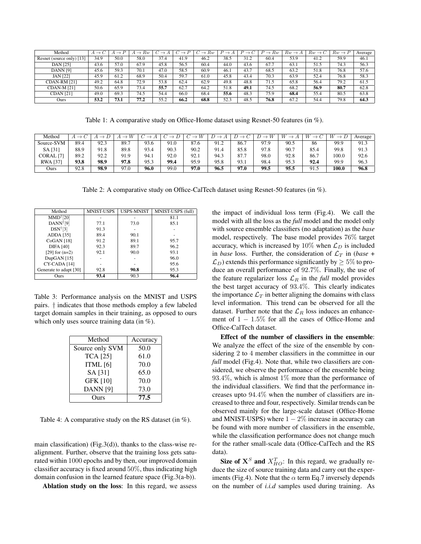| Method                    | $\rightarrow$ | $\rightarrow$ | Rw<br>$\rightarrow$ |      |      | Rw<br>$\overline{\phantom{0}}$ | P.   | $P \rightarrow$ | Rw   | $Rw \rightarrow$ | $Rw \to C$ | $Rw \to 1$<br>$\boldsymbol{D}$ | Average |
|---------------------------|---------------|---------------|---------------------|------|------|--------------------------------|------|-----------------|------|------------------|------------|--------------------------------|---------|
| Resnet (source only) [13] | 34.9          | 50.0          | 58.0                | 37.4 | 41.9 | 46.2                           | 38.5 | 31.2            | 60.4 | 53.9             | 41.2       | 59.9                           | 46.1    |
| <b>DAN</b> [25]           | 43.6          | 57.0          | 67.9                | 45.8 | 56.5 | 60.4                           | 44.0 | 43.6            | 67.7 | 63.1             | 51.5       | 74.3                           | 56.3    |
| <b>DANN</b> [9]           | 45.6          | 59.3          | 70.1                | 47.0 | 58.5 | 60.9                           | 46.1 | 43.7            | 68.5 | 63.2             | 51.8       | 76.8                           | 57.6    |
| <b>JAN [22]</b>           | 45.9          | 61.2          | 68.9                | 50.4 | 59.7 | 61.0                           | 45.8 | 43.4            | 70.3 | 63.9             | 52.4       | 76.8                           | 58.3    |
| CDAN-RM [21]              | 49.2          | 64.8          | 72.9                | 53.8 | 62.4 | 62.9                           | 49.8 | 48.8            | 71.5 | 65.8             | 56.4       | 79.2                           | 61.5    |
| <b>CDAN-M [21]</b>        | 50.6          | 65.9          | 73.4                | 55.7 | 62.7 | 64.2                           | 51.8 | 49.1            | 74.5 | 68.2             | 56.9       | 80.7                           | 62.8    |
| <b>CDAN</b> [21]          | 49.0          | 69.3          | 74.5                | 54.4 | 66.0 | 68.4                           | 55.6 | 48.3            | 75.9 | 68.4             | 55.4       | 80.5                           | 63.8    |
| Ours                      | 53.2          | 73.1          | 77.2                | 55.2 | 66.2 | 68.8                           | 52.3 | 48.5            | 76.8 | 67.2             | 54.4       | 79.8                           | 64.3    |

Table 1: A comparative study on Office-Home dataset using Resnet-50 features (in %).

| Method               |      |      |      |      |      |      |      |      | W.   |      |      |       | Average |
|----------------------|------|------|------|------|------|------|------|------|------|------|------|-------|---------|
| Source-SVM           | 89.4 | 92.3 | 89.7 | 93.6 | 91.0 | 87.6 | 91.2 | 86.7 | 97.9 | 90.5 | 86   | 99.9  | 91.5    |
| SA [31]              | 88.9 | 91.8 | 89.8 | 93.4 | 90.3 | 90.2 | 91.4 | 85.8 | 97.8 | 90.7 | 85.4 | 99.8  | 91.3    |
| CORAL <sub>[7]</sub> | 89.2 | 92.2 | 91.9 | 94.1 | 92.0 | 92.1 | 94.3 | 87.7 | 98.0 | 92.8 | 86.7 | 100.0 | 92.6    |
| <b>RWA [37]</b>      | 93.8 | 98.9 | 97.8 | 95.3 | 99.4 | 95.9 | 95.8 | 93.1 | 98.4 | 95.3 | 92.4 | 99.S  | 96.3    |
| Ours                 | 92.8 | 98.9 | 97.0 | 96.0 | 99.0 | 97.0 | 96.5 | 97.0 | 99.5 | 95.5 | 91.5 | 100.0 | 96.8    |

Table 2: A comparative study on Office-CalTech dataset using Resnet-50 features (in %).

| Method                  | <b>MNIST-USPS</b> | <b>USPS-MNIST</b> | MNIST-USPS (full) |
|-------------------------|-------------------|-------------------|-------------------|
| $MMD$ <sup>†</sup> [20] |                   |                   | 81.1              |
| $DANN^{\dagger}[9]$     | 77.1              | 73.0              | 85.1              |
| $DSN^{\dagger}[3]$      | 91.3              |                   |                   |
| <b>ADDA</b> [35]        | 89.4              | 90.1              |                   |
| CoGAN [18]              | 91.2              | 89.1              | 95.7              |
| <b>DIFA [40]</b>        | 92.3              | 89.7              | 96.2              |
| $[29]$ for $(n=2)$      | 92.1              | 90.0              | 93.1              |
| DupGAN [15]             |                   |                   | 96.0              |
| CY-CADA [14]            |                   |                   | 95.6              |
| Generate to adapt [30]  | 92.8              | 90.8              | 95.3              |
| Ours                    | 93.4              | 90.3              | 96.4              |

Table 3: Performance analysis on the MNIST and USPS pairs. † indicates that those methods employ a few labeled target domain samples in their training, as opposed to ours which only uses source training data (in %).

| Method          | Accuracy |
|-----------------|----------|
| Source only SVM | 50.0     |
| <b>TCA</b> [25] | 61.0     |
| ITML $[6]$      | 70.0     |
| SA [31]         | 65.0     |
| <b>GFK [10]</b> | 70.0     |
| <b>DANN</b> [9] | 73.0     |
| urs             | 77.5     |

Table 4: A comparative study on the RS dataset (in %).

main classification) (Fig.3(d)), thanks to the class-wise realignment. Further, observe that the training loss gets saturated within 1000 epochs and by then, our improved domain classifier accuracy is fixed around 50%, thus indicating high domain confusion in the learned feature space (Fig.3(a-b)).

Ablation study on the loss: In this regard, we assess

the impact of individual loss term (Fig.4). We call the model with all the loss as the *full* model and the model only with source ensemble classifiers (no adaptation) as the *base* model, respectively. The base model provides 76% target accuracy, which is increased by 10% when  $\mathcal{L}_D$  is included in *base* loss. Further, the consideration of  $\mathcal{L}_T$  in (*base* +  $\mathcal{L}_D$ ) extends this performance significantly by  $\geq 5\%$  to produce an overall performance of 92.7%. Finally, the use of the feature regularizer loss  $\mathcal{L}_R$  in the *full* model provides the best target accuracy of 93.4%. This clearly indicates the importance  $\mathcal{L}_T$  in better aligning the domains with class level information. This trend can be observed for all the dataset. Further note that the  $\mathcal{L}_R$  loss induces an enhancement of  $1 - 1.5\%$  for all the cases of Office-Home and Office-CalTech dataset.

Effect of the number of classifiers in the ensemble: We analyze the effect of the size of the ensemble by considering 2 to 4 member classifiers in the committee in our *full* model (Fig.4). Note that, while two classifiers are considered, we observe the performance of the ensemble being  $93.4\%$ , which is almost  $1\%$  more than the performance of the individual classifiers. We find that the performance increases upto 94.4% when the number of classifiers are increased to three and four, respectively. Similar trends can be observed mainly for the large-scale dataset (Office-Home and MNIST-USPS) where  $1 - 2\%$  increase in accuracy can be found with more number of classifiers in the ensemble, while the classification performance does not change much for the rather small-scale data (Office-CalTech and the RS data).

Size of  $X^S$  and  $X^T_{HO}$ : In this regard, we gradually reduce the size of source training data and carry out the experiments (Fig.4). Note that the  $\alpha$  term Eq.7 inversely depends on the number of *i.i.d* samples used during training. As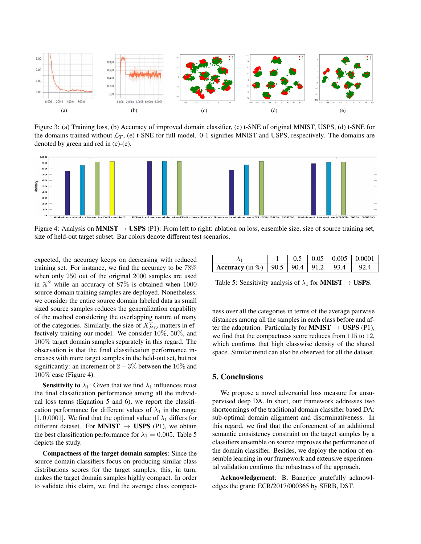

Figure 3: (a) Training loss, (b) Accuracy of improved domain classifier, (c) t-SNE of original MNIST, USPS, (d) t-SNE for the domains trained without  $\mathcal{L}_T$ , (e) t-SNE for full model. 0-1 signifies MNIST and USPS, respectively. The domains are denoted by green and red in (c)-(e).



Figure 4: Analysis on **MNIST**  $\rightarrow$  **USPS** (P1): From left to right: ablation on loss, ensemble size, size of source training set, size of held-out target subset. Bar colors denote different test scenarios.

expected, the accuracy keeps on decreasing with reduced training set. For instance, we find the accuracy to be 78% when only 250 out of the original 2000 samples are used in  $X^S$  while an accuracy of 87% is obtained when 1000 source domain training samples are deployed. Nonetheless, we consider the entire source domain labeled data as small sized source samples reduces the generalization capability of the method considering the overlapping nature of many of the categories. Similarly, the size of  $X_{HO}^T$  matters in effectively training our model. We consider 10%, 50%, and 100% target domain samples separately in this regard. The observation is that the final classification performance increases with more target samples in the held-out set, but not significantly: an increment of  $2 - 3\%$  between the 10% and 100% case (Figure 4).

**Sensitivity to**  $\lambda_1$ : Given that we find  $\lambda_1$  influences most the final classification performance among all the individual loss terms (Equation 5 and 6), we report the classification performance for different values of  $\lambda_1$  in the range [1, 0.0001]. We find that the optimal value of  $\lambda_1$  differs for different dataset. For **MNIST**  $\rightarrow$  **USPS** (P1), we obtain the best classification performance for  $\lambda_1 = 0.005$ . Table 5 depicts the study.

Compactness of the target domain samples: Since the source domain classifiers focus on producing similar class distributions scores for the target samples, this, in turn, makes the target domain samples highly compact. In order to validate this claim, we find the average class compact-

|                                                    |  | $0.5$   $0.05$   $0.005$   $0.0001$ |      |
|----------------------------------------------------|--|-------------------------------------|------|
| <b>Accuracy</b> (in %)   90.5   90.4   91.2   93.4 |  |                                     | 92.4 |

Table 5: Sensitivity analysis of  $\lambda_1$  for **MNIST**  $\rightarrow$  **USPS**.

ness over all the categories in terms of the average pairwise distances among all the samples in each class before and after the adaptation. Particularly for **MNIST**  $\rightarrow$  **USPS** (P1), we find that the compactness score reduces from 115 to 12, which confirms that high classwise density of the shared space. Similar trend can also be observed for all the dataset.

### 5. Conclusions

We propose a novel adversarial loss measure for unsupervised deep DA. In short, our framework addresses two shortcomings of the traditional domain classifier based DA: sub-optimal domain alignment and discrminativeness. In this regard, we find that the enforcement of an additional semantic consistency constraint on the target samples by a classifiers ensemble on source improves the performance of the domain classifier. Besides, we deploy the notion of ensemble learning in our framework and extensive experimental validation confirms the robustness of the approach.

Acknowledgement: B. Banerjee gratefully acknowledges the grant: ECR/2017/000365 by SERB, DST.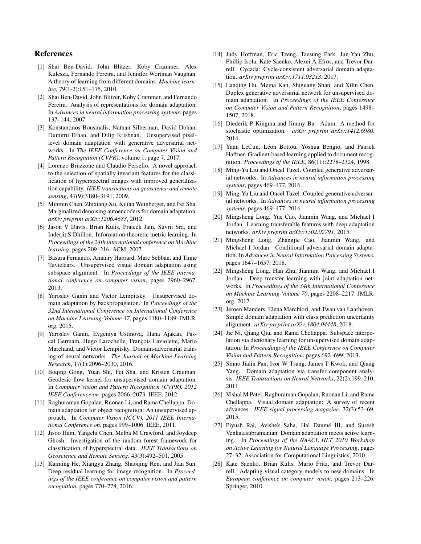## References

- [1] Shai Ben-David, John Blitzer, Koby Crammer, Alex Kulesza, Fernando Pereira, and Jennifer Wortman Vaughan. A theory of learning from different domains. *Machine learning*, 79(1-2):151–175, 2010.
- [2] Shai Ben-David, John Blitzer, Koby Crammer, and Fernando Pereira. Analysis of representations for domain adaptation. In *Advances in neural information processing systems*, pages 137–144, 2007.
- [3] Konstantinos Bousmalis, Nathan Silberman, David Dohan, Dumitru Erhan, and Dilip Krishnan. Unsupervised pixellevel domain adaptation with generative adversarial networks. In *The IEEE Conference on Computer Vision and Pattern Recognition (CVPR)*, volume 1, page 7, 2017.
- [4] Lorenzo Bruzzone and Claudio Persello. A novel approach to the selection of spatially invariant features for the classification of hyperspectral images with improved generalization capability. *IEEE transactions on geoscience and remote sensing*, 47(9):3180–3191, 2009.
- [5] Minmin Chen, Zhixiang Xu, Kilian Weinberger, and Fei Sha. Marginalized denoising autoencoders for domain adaptation. *arXiv preprint arXiv:1206.4683*, 2012.
- [6] Jason V Davis, Brian Kulis, Prateek Jain, Suvrit Sra, and Inderjit S Dhillon. Information-theoretic metric learning. In *Proceedings of the 24th international conference on Machine learning*, pages 209–216. ACM, 2007.
- [7] Basura Fernando, Amaury Habrard, Marc Sebban, and Tinne Tuytelaars. Unsupervised visual domain adaptation using subspace alignment. In *Proceedings of the IEEE international conference on computer vision*, pages 2960–2967, 2013.
- [8] Yaroslav Ganin and Victor Lempitsky. Unsupervised domain adaptation by backpropagation. In *Proceedings of the 32nd International Conference on International Conference on Machine Learning-Volume 37*, pages 1180–1189. JMLR. org, 2015.
- [9] Yaroslav Ganin, Evgeniya Ustinova, Hana Ajakan, Pascal Germain, Hugo Larochelle, François Laviolette, Mario Marchand, and Victor Lempitsky. Domain-adversarial training of neural networks. *The Journal of Machine Learning Research*, 17(1):2096–2030, 2016.
- [10] Boqing Gong, Yuan Shi, Fei Sha, and Kristen Grauman. Geodesic flow kernel for unsupervised domain adaptation. In *Computer Vision and Pattern Recognition (CVPR), 2012 IEEE Conference on*, pages 2066–2073. IEEE, 2012.
- [11] Raghuraman Gopalan, Ruonan Li, and Rama Chellappa. Domain adaptation for object recognition: An unsupervised approach. In *Computer Vision (ICCV), 2011 IEEE International Conference on*, pages 999–1006. IEEE, 2011.
- [12] Jisoo Ham, Yangchi Chen, Melba M Crawford, and Joydeep Ghosh. Investigation of the random forest framework for classification of hyperspectral data. *IEEE Transactions on Geoscience and Remote Sensing*, 43(3):492–501, 2005.
- [13] Kaiming He, Xiangyu Zhang, Shaoqing Ren, and Jian Sun. Deep residual learning for image recognition. In *Proceedings of the IEEE conference on computer vision and pattern recognition*, pages 770–778, 2016.
- [14] Judy Hoffman, Eric Tzeng, Taesung Park, Jun-Yan Zhu, Phillip Isola, Kate Saenko, Alexei A Efros, and Trevor Darrell. Cycada: Cycle-consistent adversarial domain adaptation. *arXiv preprint arXiv:1711.03213*, 2017.
- [15] Lanqing Hu, Meina Kan, Shiguang Shan, and Xilin Chen. Duplex generative adversarial network for unsupervised domain adaptation. In *Proceedings of the IEEE Conference on Computer Vision and Pattern Recognition*, pages 1498– 1507, 2018.
- [16] Diederik P Kingma and Jimmy Ba. Adam: A method for stochastic optimization. *arXiv preprint arXiv:1412.6980*, 2014.
- [17] Yann LeCun, Léon Bottou, Yoshua Bengio, and Patrick Haffner. Gradient-based learning applied to document recognition. *Proceedings of the IEEE*, 86(11):2278–2324, 1998.
- [18] Ming-Yu Liu and Oncel Tuzel. Coupled generative adversarial networks. In *Advances in neural information processing systems*, pages 469–477, 2016.
- [19] Ming-Yu Liu and Oncel Tuzel. Coupled generative adversarial networks. In *Advances in neural information processing systems*, pages 469–477, 2016.
- [20] Mingsheng Long, Yue Cao, Jianmin Wang, and Michael I Jordan. Learning transferable features with deep adaptation networks. *arXiv preprint arXiv:1502.02791*, 2015.
- [21] Mingsheng Long, Zhangjie Cao, Jianmin Wang, and Michael I Jordan. Conditional adversarial domain adaptation. In *Advances in Neural Information Processing Systems*, pages 1647–1657, 2018.
- [22] Mingsheng Long, Han Zhu, Jianmin Wang, and Michael I Jordan. Deep transfer learning with joint adaptation networks. In *Proceedings of the 34th International Conference on Machine Learning-Volume 70*, pages 2208–2217. JMLR. org, 2017.
- [23] Jeroen Manders, Elena Marchiori, and Twan van Laarhoven. Simple domain adaptation with class prediction uncertainty alignment. *arXiv preprint arXiv:1804.04448*, 2018.
- [24] Jie Ni, Qiang Qiu, and Rama Chellappa. Subspace interpolation via dictionary learning for unsupervised domain adaptation. In *Proceedings of the IEEE Conference on Computer Vision and Pattern Recognition*, pages 692–699, 2013.
- [25] Sinno Jialin Pan, Ivor W Tsang, James T Kwok, and Qiang Yang. Domain adaptation via transfer component analysis. *IEEE Transactions on Neural Networks*, 22(2):199–210, 2011.
- [26] Vishal M Patel, Raghuraman Gopalan, Ruonan Li, and Rama Chellappa. Visual domain adaptation: A survey of recent advances. *IEEE signal processing magazine*, 32(3):53–69, 2015.
- [27] Piyush Rai, Avishek Saha, Hal Daumé III, and Suresh Venkatasubramanian. Domain adaptation meets active learning. In *Proceedings of the NAACL HLT 2010 Workshop on Active Learning for Natural Language Processing*, pages 27–32. Association for Computational Linguistics, 2010.
- [28] Kate Saenko, Brian Kulis, Mario Fritz, and Trevor Darrell. Adapting visual category models to new domains. In *European conference on computer vision*, pages 213–226. Springer, 2010.